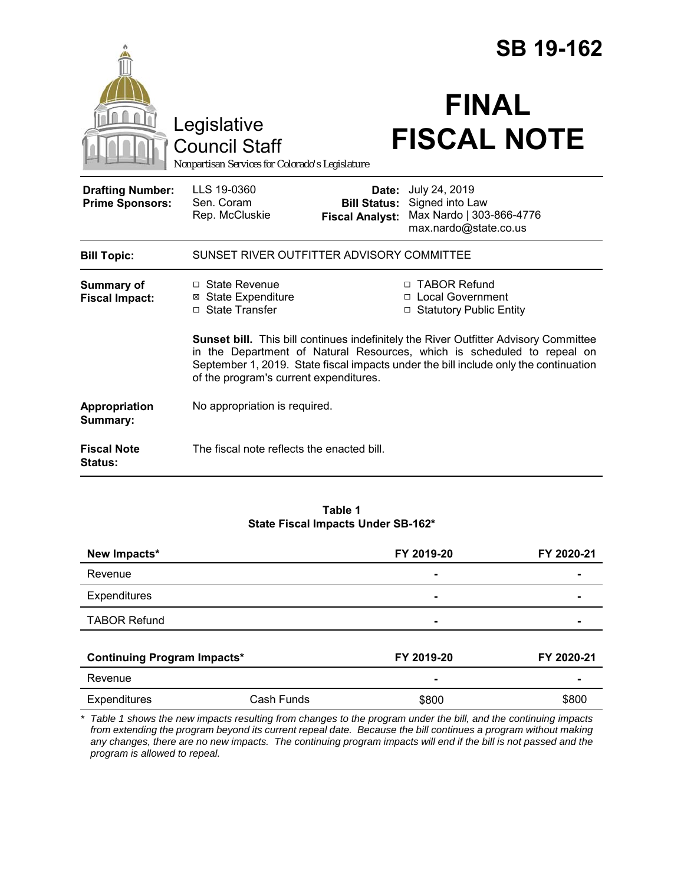|                                                   |                                                                                                                                                                                                                                                                                                          |                                                        | <b>SB 19-162</b>                                                                      |  |
|---------------------------------------------------|----------------------------------------------------------------------------------------------------------------------------------------------------------------------------------------------------------------------------------------------------------------------------------------------------------|--------------------------------------------------------|---------------------------------------------------------------------------------------|--|
|                                                   | Legislative<br><b>Council Staff</b><br>Nonpartisan Services for Colorado's Legislature                                                                                                                                                                                                                   |                                                        | <b>FINAL</b><br><b>FISCAL NOTE</b>                                                    |  |
| <b>Drafting Number:</b><br><b>Prime Sponsors:</b> | LLS 19-0360<br>Sen. Coram<br>Rep. McCluskie                                                                                                                                                                                                                                                              | Date:<br><b>Bill Status:</b><br><b>Fiscal Analyst:</b> | July 24, 2019<br>Signed into Law<br>Max Nardo   303-866-4776<br>max.nardo@state.co.us |  |
| <b>Bill Topic:</b>                                | SUNSET RIVER OUTFITTER ADVISORY COMMITTEE                                                                                                                                                                                                                                                                |                                                        |                                                                                       |  |
| <b>Summary of</b><br><b>Fiscal Impact:</b>        | □ State Revenue<br><b>⊠ State Expenditure</b><br>□ State Transfer                                                                                                                                                                                                                                        |                                                        | □ TABOR Refund<br>□ Local Government<br>□ Statutory Public Entity                     |  |
|                                                   | <b>Sunset bill.</b> This bill continues indefinitely the River Outfitter Advisory Committee<br>in the Department of Natural Resources, which is scheduled to repeal on<br>September 1, 2019. State fiscal impacts under the bill include only the continuation<br>of the program's current expenditures. |                                                        |                                                                                       |  |
| Appropriation<br>Summary:                         | No appropriation is required.                                                                                                                                                                                                                                                                            |                                                        |                                                                                       |  |
| <b>Fiscal Note</b><br>Status:                     | The fiscal note reflects the enacted bill.                                                                                                                                                                                                                                                               |                                                        |                                                                                       |  |

#### **Table 1 State Fiscal Impacts Under SB-162\***

| New Impacts*<br>Revenue            |            | FY 2019-20 | FY 2020-21 |
|------------------------------------|------------|------------|------------|
|                                    |            | ۰          |            |
| <b>Expenditures</b>                |            | ۰          |            |
| <b>TABOR Refund</b>                |            | ۰          |            |
| <b>Continuing Program Impacts*</b> |            | FY 2019-20 | FY 2020-21 |
| Revenue                            |            |            |            |
|                                    |            | -          |            |
| <b>Expenditures</b>                | Cash Funds | \$800      | \$800      |

*\* Table 1 shows the new impacts resulting from changes to the program under the bill, and the continuing impacts from extending the program beyond its current repeal date. Because the bill continues a program without making any changes, there are no new impacts. The continuing program impacts will end if the bill is not passed and the program is allowed to repeal.*